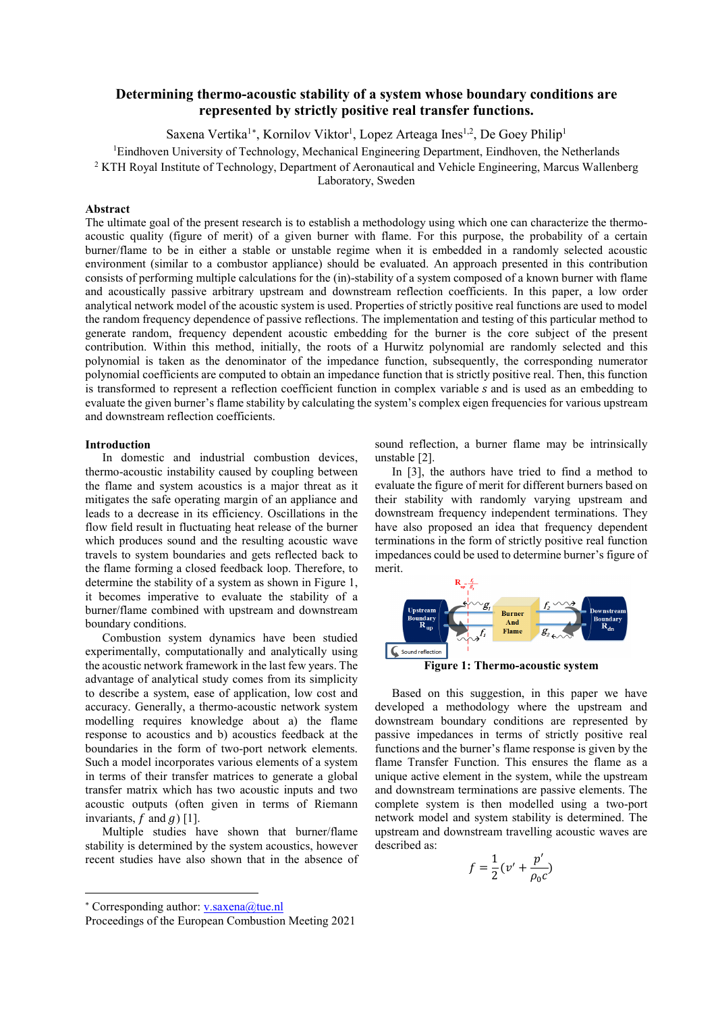## **Determining thermo-acoustic stability of a system whose boundary conditions are represented by strictly positive real transfer functions.**

Saxena Vertika<sup>1[∗](#page-0-0)</sup>, Kornilov Viktor<sup>1</sup>, Lopez Arteaga Ines<sup>1,2</sup>, De Goey Philip<sup>1</sup>

<sup>1</sup>Eindhoven University of Technology, Mechanical Engineering Department, Eindhoven, the Netherlands

<sup>2</sup> KTH Royal Institute of Technology, Department of Aeronautical and Vehicle Engineering, Marcus Wallenberg

Laboratory, Sweden

## **Abstract**

The ultimate goal of the present research is to establish a methodology using which one can characterize the thermoacoustic quality (figure of merit) of a given burner with flame. For this purpose, the probability of a certain burner/flame to be in either a stable or unstable regime when it is embedded in a randomly selected acoustic environment (similar to a combustor appliance) should be evaluated. An approach presented in this contribution consists of performing multiple calculations for the (in)-stability of a system composed of a known burner with flame and acoustically passive arbitrary upstream and downstream reflection coefficients. In this paper, a low order analytical network model of the acoustic system is used. Properties of strictly positive real functions are used to model the random frequency dependence of passive reflections. The implementation and testing of this particular method to generate random, frequency dependent acoustic embedding for the burner is the core subject of the present contribution. Within this method, initially, the roots of a Hurwitz polynomial are randomly selected and this polynomial is taken as the denominator of the impedance function, subsequently, the corresponding numerator polynomial coefficients are computed to obtain an impedance function that is strictly positive real. Then, this function is transformed to represent a reflection coefficient function in complex variable s and is used as an embedding to evaluate the given burner's flame stability by calculating the system's complex eigen frequencies for various upstream and downstream reflection coefficients.

## **Introduction**

In domestic and industrial combustion devices, thermo-acoustic instability caused by coupling between the flame and system acoustics is a major threat as it mitigates the safe operating margin of an appliance and leads to a decrease in its efficiency. Oscillations in the flow field result in fluctuating heat release of the burner which produces sound and the resulting acoustic wave travels to system boundaries and gets reflected back to the flame forming a closed feedback loop. Therefore, to determine the stability of a system as shown in Figure 1, it becomes imperative to evaluate the stability of a burner/flame combined with upstream and downstream boundary conditions.

Combustion system dynamics have been studied experimentally, computationally and analytically using the acoustic network framework in the last few years. The advantage of analytical study comes from its simplicity to describe a system, ease of application, low cost and accuracy. Generally, a thermo-acoustic network system modelling requires knowledge about a) the flame response to acoustics and b) acoustics feedback at the boundaries in the form of two-port network elements. Such a model incorporates various elements of a system in terms of their transfer matrices to generate a global transfer matrix which has two acoustic inputs and two acoustic outputs (often given in terms of Riemann invariants,  $f$  and  $g$ ) [1].

Multiple studies have shown that burner/flame stability is determined by the system acoustics, however recent studies have also shown that in the absence of

-

sound reflection, a burner flame may be intrinsically unstable [2].

In [3], the authors have tried to find a method to evaluate the figure of merit for different burners based on their stability with randomly varying upstream and downstream frequency independent terminations. They have also proposed an idea that frequency dependent terminations in the form of strictly positive real function impedances could be used to determine burner's figure of merit.



**Figure 1: Thermo-acoustic system** 

Based on this suggestion, in this paper we have developed a methodology where the upstream and downstream boundary conditions are represented by passive impedances in terms of strictly positive real functions and the burner's flame response is given by the flame Transfer Function. This ensures the flame as a unique active element in the system, while the upstream and downstream terminations are passive elements. The complete system is then modelled using a two-port network model and system stability is determined. The upstream and downstream travelling acoustic waves are described as:

$$
f = \frac{1}{2} (v' + \frac{p'}{\rho_0 c})
$$

<span id="page-0-0"></span><sup>∗</sup> Corresponding author: [v.saxena@tue.nl](mailto:v.saxena@tue.nl) 

Proceedings of the European Combustion Meeting 2021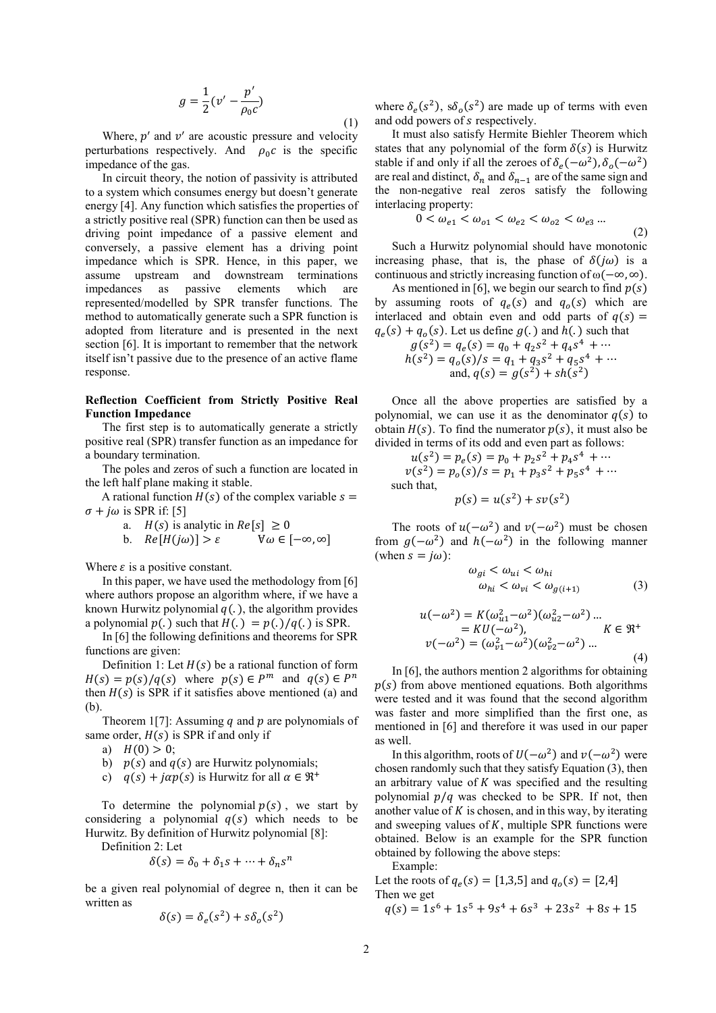$$
g = \frac{1}{2} (v' - \frac{p'}{\rho_0 c})
$$
 (1)

Where,  $p'$  and  $v'$  are acoustic pressure and velocity perturbations respectively. And  $\rho_0 c$  is the specific impedance of the gas.

In circuit theory, the notion of passivity is attributed to a system which consumes energy but doesn't generate energy [4]. Any function which satisfies the properties of a strictly positive real (SPR) function can then be used as driving point impedance of a passive element and conversely, a passive element has a driving point impedance which is SPR. Hence, in this paper, we assume upstream and downstream terminations impedances as passive elements which are represented/modelled by SPR transfer functions. The method to automatically generate such a SPR function is adopted from literature and is presented in the next section [6]. It is important to remember that the network itself isn't passive due to the presence of an active flame response.

## **Reflection Coefficient from Strictly Positive Real Function Impedance**

The first step is to automatically generate a strictly positive real (SPR) transfer function as an impedance for a boundary termination.

The poles and zeros of such a function are located in the left half plane making it stable.

A rational function  $H(s)$  of the complex variable  $s =$  $\sigma$  +  $j\omega$  is SPR if: [5]

- a.  $H(s)$  is analytic in  $Re[s] \ge 0$ <br>b.  $Re[H(j\omega)] > \varepsilon$   $\forall \omega \in [-\infty, \infty]$
- b.  $Re[H(j\omega)] > \varepsilon$

Where  $\varepsilon$  is a positive constant.

In this paper, we have used the methodology from [6] where authors propose an algorithm where, if we have a known Hurwitz polynomial  $q(.)$ , the algorithm provides a polynomial  $p(.)$  such that  $H(.) = p(.)/q(.)$  is SPR.

In [6] the following definitions and theorems for SPR functions are given:

Definition 1: Let  $H(s)$  be a rational function of form  $H(s) = p(s)/q(s)$  where  $p(s) \in P^m$  and  $q(s) \in P^n$ then  $H(s)$  is SPR if it satisfies above mentioned (a) and (b).

Theorem 1[7]: Assuming  $q$  and  $p$  are polynomials of same order,  $H(s)$  is SPR if and only if

- a)  $H(0) > 0$ ;
- b)  $p(s)$  and  $q(s)$  are Hurwitz polynomials;
- c)  $q(s) + j\alpha p(s)$  is Hurwitz for all  $\alpha \in \mathbb{R}^+$

To determine the polynomial  $p(s)$ , we start by considering a polynomial  $q(s)$  which needs to be Hurwitz. By definition of Hurwitz polynomial [8]:

Definition 2: Let

$$
\delta(s) = \delta_0 + \delta_1 s + \dots + \delta_n s^n
$$

be a given real polynomial of degree n, then it can be written as

$$
\delta(s) = \delta_e(s^2) + s\delta_o(s^2)
$$

where  $\delta_e(s^2)$ ,  $s\delta_o(s^2)$  are made up of terms with even and odd powers of *s* respectively.

It must also satisfy Hermite Biehler Theorem which states that any polynomial of the form  $\delta(s)$  is Hurwitz stable if and only if all the zeroes of  $\delta_e(-\omega^2)$ ,  $\delta_o(-\omega^2)$ are real and distinct,  $\delta_n$  and  $\delta_{n-1}$  are of the same sign and the non-negative real zeros satisfy the following interlacing property:

$$
0 < \omega_{e1} < \omega_{o1} < \omega_{e2} < \omega_{o2} < \omega_{e3} \dots \tag{2}
$$

Such a Hurwitz polynomial should have monotonic increasing phase, that is, the phase of  $\delta(i\omega)$  is a continuous and strictly increasing function of ω(−∞, ∞).

As mentioned in [6], we begin our search to find  $p(s)$ by assuming roots of  $q_e(s)$  and  $q_o(s)$  which are interlaced and obtain even and odd parts of  $q(s)$  =  $q_e(s) + q_o(s)$ . Let us define  $g(.)$  and  $h(.)$  such that

$$
g(s2) = qe(s) = q0 + q2s2 + q4s4 + \cdots
$$
  
h(s<sup>2</sup>) = q<sub>0</sub>(s)/s = q<sub>1</sub> + q<sub>3</sub>s<sup>2</sup> + q<sub>5</sub>s<sup>4</sup> + \cdots  
and, q(s) = g(s<sup>2</sup>) + sh(s<sup>2</sup>)

Once all the above properties are satisfied by a polynomial, we can use it as the denominator  $q(s)$  to obtain  $H(s)$ . To find the numerator  $p(s)$ , it must also be divided in terms of its odd and even part as follows:

$$
u(s2) = pe(s) = p0 + p2s2 + p4s4 + \cdots
$$
  
\n
$$
v(s2) = p0(s)/s = p1 + p3s2 + p5s4 + \cdots
$$
  
\nsuch that,  
\n
$$
p(s) = u(s2) + sv(s2)
$$

The roots of  $u(-\omega^2)$  and  $v(-\omega^2)$  must be chosen from  $g(-\omega^2)$  and  $h(-\omega^2)$  in the following manner (when  $s = j\omega$ ):

$$
\omega_{gi} < \omega_{ui} < \omega_{hi} \\
\omega_{hi} < \omega_{vi} < \omega_{g(i+1)}\n\tag{3}
$$

$$
u(-\omega^2) = K(\omega_{u1}^2 - \omega^2)(\omega_{u2}^2 - \omega^2) ... = K U(-\omega^2), \qquad K \in \mathfrak{R}^+ v(-\omega^2) = (\omega_{v1}^2 - \omega^2)(\omega_{v2}^2 - \omega^2) ...
$$
 (4)

In [6], the authors mention 2 algorithms for obtaining  $p(s)$  from above mentioned equations. Both algorithms were tested and it was found that the second algorithm was faster and more simplified than the first one, as mentioned in [6] and therefore it was used in our paper as well.

In this algorithm, roots of  $U(-\omega^2)$  and  $\nu(-\omega^2)$  were chosen randomly such that they satisfy Equation (3), then an arbitrary value of  $K$  was specified and the resulting polynomial  $p/q$  was checked to be SPR. If not, then another value of  $K$  is chosen, and in this way, by iterating and sweeping values of  $K$ , multiple SPR functions were obtained. Below is an example for the SPR function obtained by following the above steps:

Example:

Let the roots of  $q_e(s) = [1,3,5]$  and  $q_o(s) = [2,4]$ Then we get

$$
q(s) = 1s^6 + 1s^5 + 9s^4 + 6s^3 + 23s^2 + 8s + 15
$$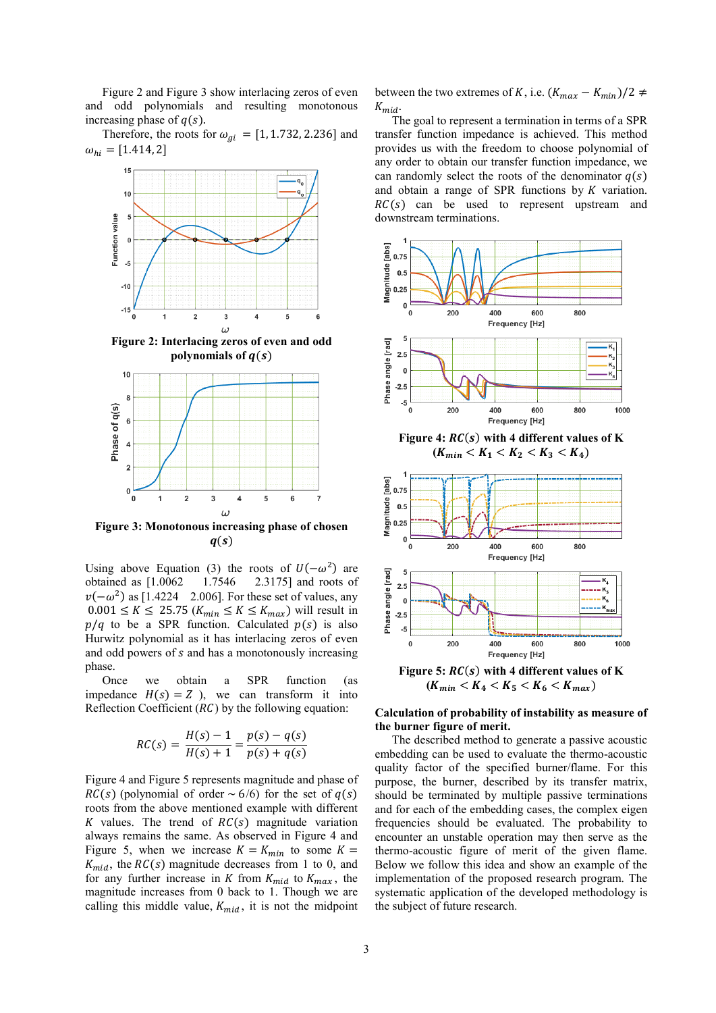Figure 2 and Figure 3 show interlacing zeros of even and odd polynomials and resulting monotonous increasing phase of  $q(s)$ .

Therefore, the roots for  $\omega_{gi} = [1, 1.732, 2.236]$  and  $\omega_{hi} = [1.414, 2]$ 



**Figure 2: Interlacing zeros of even and odd**  polynomials of  $q(s)$ 



**Figure 3: Monotonous increasing phase of chosen**   $q(s)$ 

Using above Equation (3) the roots of  $U(-\omega^2)$  are obtained as [1.0062 1.7546 2.3175] and roots of  $2.3175$ ] and roots of  $v(-\omega^2)$  as [1.4224 2.006]. For these set of values, any  $0.001 \leq K \leq 25.75$  ( $K_{min} \leq K \leq K_{max}$ ) will result in  $p/q$  to be a SPR function. Calculated  $p(s)$  is also Hurwitz polynomial as it has interlacing zeros of even and odd powers of  $s$  and has a monotonously increasing phase.

Once we obtain a SPR function (as impedance  $H(s) = Z$ ), we can transform it into Reflection Coefficient  $(RC)$  by the following equation:

$$
RC(s) = \frac{H(s) - 1}{H(s) + 1} = \frac{p(s) - q(s)}{p(s) + q(s)}
$$

Figure 4 and Figure 5 represents magnitude and phase of  $RC(s)$  (polynomial of order  $\sim 6/6$ ) for the set of  $q(s)$ roots from the above mentioned example with different K values. The trend of  $RC(s)$  magnitude variation always remains the same. As observed in Figure 4 and Figure 5, when we increase  $K = K_{min}$  to some  $K =$  $K_{mid}$ , the  $RC(s)$  magnitude decreases from 1 to 0, and for any further increase in  $K$  from  $K_{mid}$  to  $K_{max}$ , the magnitude increases from 0 back to 1. Though we are calling this middle value,  $K_{mid}$ , it is not the midpoint between the two extremes of K, i.e.  $(K_{max} - K_{min})/2 \neq$  $K_{mid}$ .

The goal to represent a termination in terms of a SPR transfer function impedance is achieved. This method provides us with the freedom to choose polynomial of any order to obtain our transfer function impedance, we can randomly select the roots of the denominator  $q(s)$ and obtain a range of SPR functions by  $K$  variation.  $RC(s)$  can be used to represent upstream and downstream terminations.



 $(K_{min} < K_4 < K_5 < K_6 < K_{max})$ 

### **Calculation of probability of instability as measure of the burner figure of merit.**

The described method to generate a passive acoustic embedding can be used to evaluate the thermo-acoustic quality factor of the specified burner/flame. For this purpose, the burner, described by its transfer matrix, should be terminated by multiple passive terminations and for each of the embedding cases, the complex eigen frequencies should be evaluated. The probability to encounter an unstable operation may then serve as the thermo-acoustic figure of merit of the given flame. Below we follow this idea and show an example of the implementation of the proposed research program. The systematic application of the developed methodology is the subject of future research.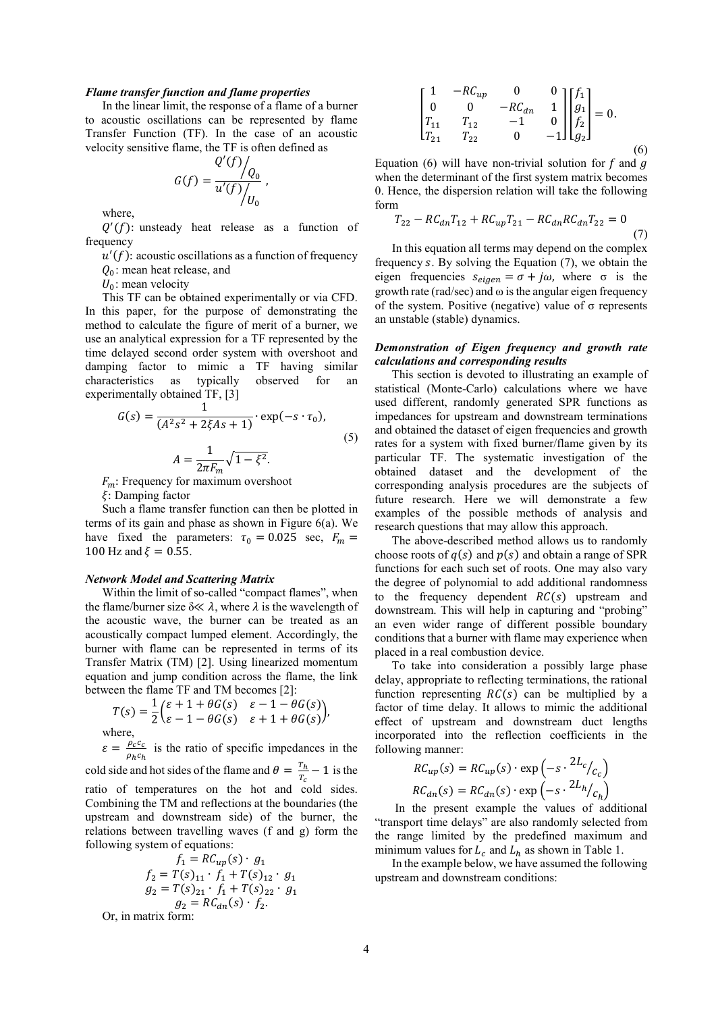#### *Flame transfer function and flame properties*

In the linear limit, the response of a flame of a burner to acoustic oscillations can be represented by flame Transfer Function (TF). In the case of an acoustic velocity sensitive flame, the TF is often defined as

$$
G(f) = \frac{Q'(f)}{u'(f) / U_0},
$$

where,

 $Q'(f)$ : unsteady heat release as a function of frequency

 $u'(f)$ : acoustic oscillations as a function of frequency

 $Q_0$ : mean heat release, and

 $U_0$ : mean velocity

This TF can be obtained experimentally or via CFD. In this paper, for the purpose of demonstrating the method to calculate the figure of merit of a burner, we use an analytical expression for a TF represented by the time delayed second order system with overshoot and damping factor to mimic a TF having similar characteristics as typically observed for an experimentally obtained TF, [3]

$$
G(s) = \frac{1}{(A^2 s^2 + 2\xi As + 1)} \cdot \exp(-s \cdot \tau_0),
$$
  

$$
A = \frac{1}{2\pi F_m} \sqrt{1 - \xi^2}.
$$
 (5)

 $F_m$ : Frequency for maximum overshoot

 $\xi$ : Damping factor

Such a flame transfer function can then be plotted in terms of its gain and phase as shown in Figure 6(a). We have fixed the parameters:  $\tau_0 = 0.025$  sec,  $F_m =$ 100 Hz and  $\xi = 0.55$ .

#### *Network Model and Scattering Matrix*

Within the limit of so-called "compact flames", when the flame/burner size  $\delta \ll \lambda$ , where  $\lambda$  is the wavelength of the acoustic wave, the burner can be treated as an acoustically compact lumped element. Accordingly, the burner with flame can be represented in terms of its Transfer Matrix (TM) [2]. Using linearized momentum equation and jump condition across the flame, the link between the flame TF and TM becomes [2]:

$$
T(s) = \frac{1}{2} \begin{pmatrix} \varepsilon + 1 + \theta G(s) & \varepsilon - 1 - \theta G(s) \\ \varepsilon - 1 - \theta G(s) & \varepsilon + 1 + \theta G(s) \end{pmatrix},
$$
  
where,

 $\varepsilon = \frac{\rho_c c_c}{\rho_h c_h}$  is the ratio of specific impedances in the

cold side and hot sides of the flame and  $\theta = \frac{T_h}{T_c} - 1$  is the ratio of temperatures on the hot and cold sides. Combining the TM and reflections at the boundaries (the upstream and downstream side) of the burner, the relations between travelling waves (f and g) form the following system of equations:

$$
f_1 = RC_{up}(s) \cdot g_1
$$
  
\n
$$
f_2 = T(s)_{11} \cdot f_1 + T(s)_{12} \cdot g_1
$$
  
\n
$$
g_2 = T(s)_{21} \cdot f_1 + T(s)_{22} \cdot g_1
$$
  
\n
$$
g_2 = RC_{dn}(s) \cdot f_2.
$$
  
\nmatrix form:

Or, in matrix form:

$$
\begin{bmatrix} 1 & -RC_{up} & 0 & 0 \ 0 & 0 & -RC_{dn} & 1 \ T_{11} & T_{12} & -1 & 0 \ T_{21} & T_{22} & 0 & -1 \end{bmatrix} \begin{bmatrix} f_1 \ g_1 \ f_2 \ g_3 \end{bmatrix} = 0.
$$

(6)

Equation (6) will have non-trivial solution for  $f$  and  $g$ when the determinant of the first system matrix becomes 0. Hence, the dispersion relation will take the following form

$$
T_{22} - RC_{dn}T_{12} + RC_{up}T_{21} - RC_{dn}RC_{dn}T_{22} = 0
$$
\n(7)

In this equation all terms may depend on the complex frequency  $s$ . By solving the Equation  $(7)$ , we obtain the eigen frequencies  $s_{eigen} = \sigma + j\omega$ , where  $\sigma$  is the growth rate (rad/sec) and  $\omega$  is the angular eigen frequency of the system. Positive (negative) value of σ represents an unstable (stable) dynamics.

## *Demonstration of Eigen frequency and growth rate calculations and corresponding results*

This section is devoted to illustrating an example of statistical (Monte-Carlo) calculations where we have used different, randomly generated SPR functions as impedances for upstream and downstream terminations and obtained the dataset of eigen frequencies and growth rates for a system with fixed burner/flame given by its particular TF. The systematic investigation of the obtained dataset and the development of the corresponding analysis procedures are the subjects of future research. Here we will demonstrate a few examples of the possible methods of analysis and research questions that may allow this approach.

The above-described method allows us to randomly choose roots of  $q(s)$  and  $p(s)$  and obtain a range of SPR functions for each such set of roots. One may also vary the degree of polynomial to add additional randomness to the frequency dependent  $RC(s)$  upstream and downstream. This will help in capturing and "probing" an even wider range of different possible boundary conditions that a burner with flame may experience when placed in a real combustion device.

To take into consideration a possibly large phase delay, appropriate to reflecting terminations, the rational function representing  $RC(s)$  can be multiplied by a factor of time delay. It allows to mimic the additional effect of upstream and downstream duct lengths incorporated into the reflection coefficients in the following manner:

$$
RC_{up}(s) = RC_{up}(s) \cdot \exp\left(-s \cdot \frac{2L_c}{c_c}\right)
$$

$$
RC_{dn}(s) = RC_{dn}(s) \cdot \exp\left(-s \cdot \frac{2L_h}{c_h}\right)
$$

In the present example the values of additional "transport time delays" are also randomly selected from the range limited by the predefined maximum and minimum values for  $L_c$  and  $L_h$  as shown in Table 1.

In the example below, we have assumed the following upstream and downstream conditions: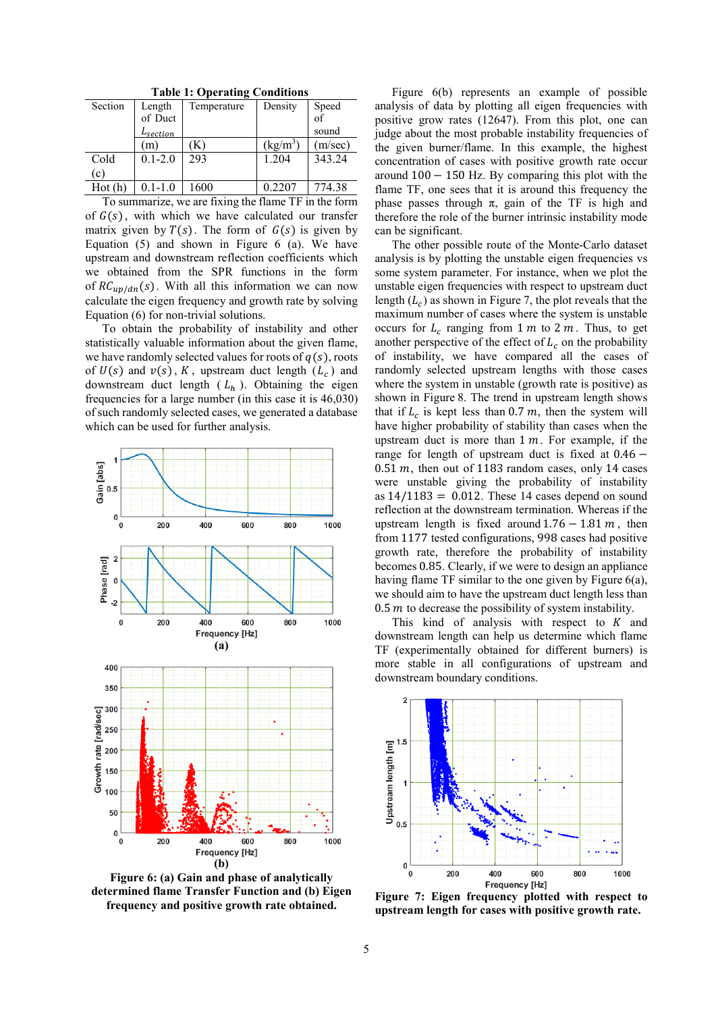| Table 1: Operating Conditions |                      |             |                   |         |
|-------------------------------|----------------------|-------------|-------------------|---------|
| Section                       | Length               | Temperature | Density           | Speed   |
|                               | of Duct              |             |                   | of      |
|                               | L <sub>section</sub> |             |                   | sound   |
|                               | $\lceil m \rceil$    |             | $(\text{kg/m}^3)$ | (m/sec) |
| Cold                          | $0.1 - 2.0$          | 293         | 1.204             | 343.24  |
| (c)                           |                      |             |                   |         |
| Hot (h)                       | $0.1 - 1.0$          | 1600        | 0.2207            | 774.38  |

**Table 1: Operating Conditions**

To summarize, we are fixing the flame TF in the form of  $G(s)$ , with which we have calculated our transfer matrix given by  $T(s)$ . The form of  $G(s)$  is given by Equation (5) and shown in Figure 6 (a). We have upstream and downstream reflection coefficients which we obtained from the SPR functions in the form of  $RC_{up/dn}(s)$ . With all this information we can now calculate the eigen frequency and growth rate by solving Equation (6) for non-trivial solutions.

To obtain the probability of instability and other statistically valuable information about the given flame, we have randomly selected values for roots of  $q(s)$ , roots of  $U(s)$  and  $v(s)$ , K, upstream duct length  $(L_c)$  and downstream duct length  $(L_h)$ . Obtaining the eigen frequencies for a large number (in this case it is 46,030) of such randomly selected cases, we generated a database which can be used for further analysis.



**Figure 6: (a) Gain and phase of analytically determined flame Transfer Function and (b) Eigen frequency and positive growth rate obtained.** 

Figure 6(b) represents an example of possible analysis of data by plotting all eigen frequencies with positive grow rates (12647). From this plot, one can judge about the most probable instability frequencies of the given burner/flame. In this example, the highest concentration of cases with positive growth rate occur around  $100 - 150$  Hz. By comparing this plot with the flame TF, one sees that it is around this frequency the phase passes through π, gain of the TF is high and therefore the role of the burner intrinsic instability mode can be significant.

The other possible route of the Monte-Carlo dataset analysis is by plotting the unstable eigen frequencies vs some system parameter. For instance, when we plot the unstable eigen frequencies with respect to upstream duct length  $(L<sub>c</sub>)$  as shown in Figure 7, the plot reveals that the maximum number of cases where the system is unstable occurs for  $L_c$  ranging from 1 m to 2 m. Thus, to get another perspective of the effect of  $L_c$  on the probability of instability, we have compared all the cases of randomly selected upstream lengths with those cases where the system in unstable (growth rate is positive) as shown in Figure 8. The trend in upstream length shows that if  $L_c$  is kept less than 0.7 m, then the system will have higher probability of stability than cases when the upstream duct is more than  $1 m$ . For example, if the range for length of upstream duct is fixed at 0.46 −  $0.51$  m, then out of 1183 random cases, only 14 cases were unstable giving the probability of instability as  $14/1183 = 0.012$ . These 14 cases depend on sound reflection at the downstream termination. Whereas if the upstream length is fixed around  $1.76 - 1.81 m$ , then from 1177 tested configurations, 998 cases had positive growth rate, therefore the probability of instability becomes 0.85. Clearly, if we were to design an appliance having flame TF similar to the one given by Figure 6(a), we should aim to have the upstream duct length less than 0.5  *to decrease the possibility of system instability.* 

This kind of analysis with respect to  $K$  and downstream length can help us determine which flame TF (experimentally obtained for different burners) is more stable in all configurations of upstream and downstream boundary conditions.



**Figure 7: Eigen frequency plotted with respect to upstream length for cases with positive growth rate.**